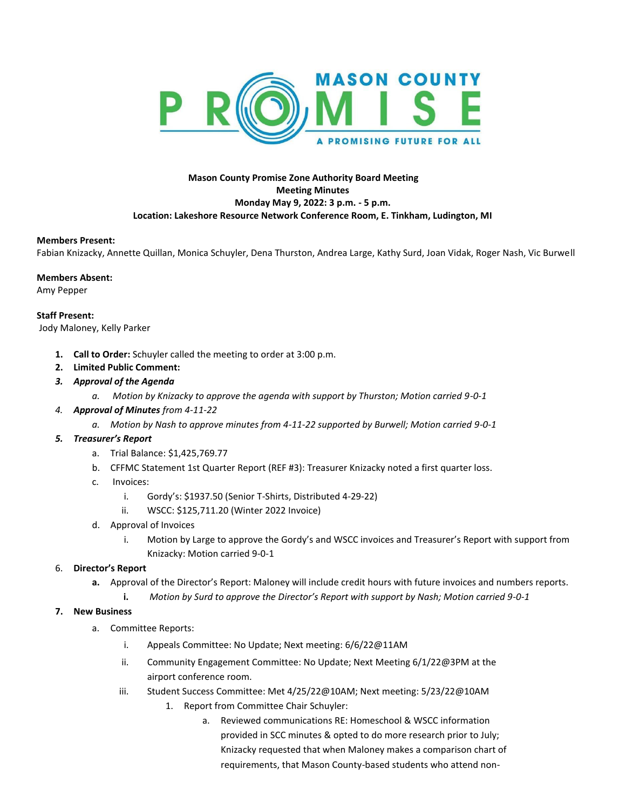

# **Mason County Promise Zone Authority Board Meeting Meeting Minutes Monday May 9, 2022: 3 p.m. - 5 p.m. Location: Lakeshore Resource Network Conference Room, E. Tinkham, Ludington, MI**

### **Members Present:**

Fabian Knizacky, Annette Quillan, Monica Schuyler, Dena Thurston, Andrea Large, Kathy Surd, Joan Vidak, Roger Nash, Vic Burwell

### **Members Absent:**

Amy Pepper

**Staff Present:**  Jody Maloney, Kelly Parker

- **1. Call to Order:** Schuyler called the meeting to order at 3:00 p.m.
- **2. Limited Public Comment:**
- *3. Approval of the Agenda*
	- *a. Motion by Knizacky to approve the agenda with support by Thurston; Motion carried 9-0-1*
- *4. Approval of Minutes from 4-11-22*
	- *a. Motion by Nash to approve minutes from 4-11-22 supported by Burwell; Motion carried 9-0-1*

## *5. Treasurer's Report*

- a. Trial Balance: \$1,425,769.77
- b. CFFMC Statement 1st Quarter Report (REF #3): Treasurer Knizacky noted a first quarter loss.
- c. Invoices:
	- i. Gordy's: \$1937.50 (Senior T-Shirts, Distributed 4-29-22)
	- ii. WSCC: \$125,711.20 (Winter 2022 Invoice)
- d. Approval of Invoices
	- i. Motion by Large to approve the Gordy's and WSCC invoices and Treasurer's Report with support from Knizacky: Motion carried 9-0-1

## 6. **Director's Report**

- **a.** Approval of the Director's Report: Maloney will include credit hours with future invoices and numbers reports.
	- **i.** *Motion by Surd to approve the Director's Report with support by Nash; Motion carried 9-0-1*
- **7. New Business**
	- a. Committee Reports:
		- i. Appeals Committee: No Update; Next meeting: 6/6/22@11AM
		- ii. Community Engagement Committee: No Update; Next Meeting 6/1/22@3PM at the airport conference room.
		- iii. Student Success Committee: Met 4/25/22@10AM; Next meeting: 5/23/22@10AM
			- 1. Report from Committee Chair Schuyler:
				- a. Reviewed communications RE: Homeschool & WSCC information provided in SCC minutes & opted to do more research prior to July; Knizacky requested that when Maloney makes a comparison chart of requirements, that Mason County-based students who attend non-